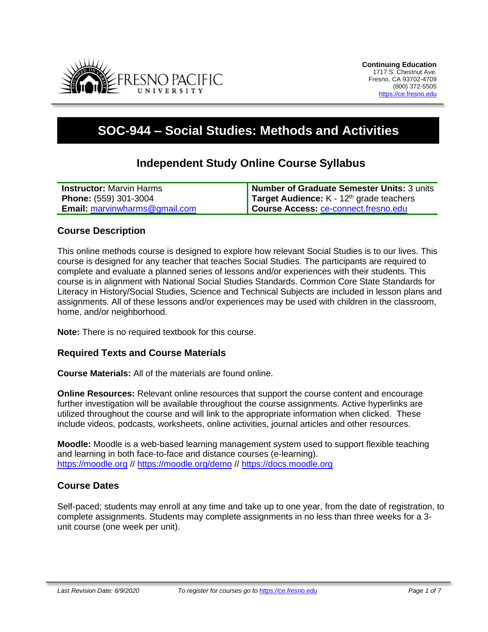

# **SOC-944 – Social Studies: Methods and Activities**

# **Independent Study Online Course Syllabus**

| <b>Instructor:</b> Marvin Harms      | Number of Graduate Semester Units: 3 units        |
|--------------------------------------|---------------------------------------------------|
| <b>Phone:</b> (559) 301-3004         | <b>Target Audience:</b> $K - 12th$ grade teachers |
| <b>Email:</b> marvinwharms@gmail.com | Course Access: ce-connect.fresno.edu              |

#### **Course Description**

This online methods course is designed to explore how relevant Social Studies is to our lives. This course is designed for any teacher that teaches Social Studies. The participants are required to complete and evaluate a planned series of lessons and/or experiences with their students. This course is in alignment with National Social Studies Standards. Common Core State Standards for Literacy in History/Social Studies, Science and Technical Subjects are included in lesson plans and assignments. All of these lessons and/or experiences may be used with children in the classroom, home, and/or neighborhood.

**Note:** There is no required textbook for this course.

#### **Required Texts and Course Materials**

**Course Materials:** All of the materials are found online.

**Online Resources:** Relevant online resources that support the course content and encourage further investigation will be available throughout the course assignments. Active hyperlinks are utilized throughout the course and will link to the appropriate information when clicked. These include videos, podcasts, worksheets, online activities, journal articles and other resources.

**Moodle:** Moodle is a web-based learning management system used to support flexible teaching and learning in both face-to-face and distance courses (e-learning). [https://moodle.org](https://moodle.org/) // <https://moodle.org/demo> // [https://docs.moodle.org](https://docs.moodle.org/)

#### **Course Dates**

Self-paced; students may enroll at any time and take up to one year, from the date of registration, to complete assignments. Students may complete assignments in no less than three weeks for a 3 unit course (one week per unit).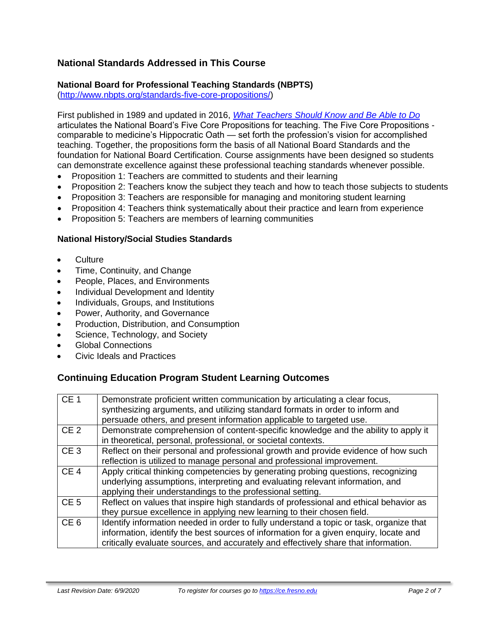# **National Standards Addressed in This Course**

## **National Board for Professional Teaching Standards (NBPTS)**

[\(http://www.nbpts.org/standards-five-core-propositions/\)](http://www.nbpts.org/standards-five-core-propositions/)

First published in 1989 and updated in 2016, *[What Teachers Should Know and Be Able to Do](http://www.accomplishedteacher.org/)* articulates the National Board's Five Core Propositions for teaching. The Five Core Propositions comparable to medicine's Hippocratic Oath — set forth the profession's vision for accomplished teaching. Together, the propositions form the basis of all National Board Standards and the foundation for National Board Certification. Course assignments have been designed so students can demonstrate excellence against these professional teaching standards whenever possible.

- Proposition 1: Teachers are committed to students and their learning
- Proposition 2: Teachers know the subject they teach and how to teach those subjects to students
- Proposition 3: Teachers are responsible for managing and monitoring student learning
- Proposition 4: Teachers think systematically about their practice and learn from experience
- Proposition 5: Teachers are members of learning communities

#### **National History/Social Studies Standards**

- Culture
- Time, Continuity, and Change
- People, Places, and Environments
- Individual Development and Identity
- Individuals, Groups, and Institutions
- Power, Authority, and Governance
- Production, Distribution, and Consumption
- Science, Technology, and Society
- Global Connections
- Civic Ideals and Practices

# **Continuing Education Program Student Learning Outcomes**

| CE <sub>1</sub> | Demonstrate proficient written communication by articulating a clear focus,<br>synthesizing arguments, and utilizing standard formats in order to inform and<br>persuade others, and present information applicable to targeted use.                                    |
|-----------------|-------------------------------------------------------------------------------------------------------------------------------------------------------------------------------------------------------------------------------------------------------------------------|
| CE <sub>2</sub> | Demonstrate comprehension of content-specific knowledge and the ability to apply it<br>in theoretical, personal, professional, or societal contexts.                                                                                                                    |
| CE <sub>3</sub> | Reflect on their personal and professional growth and provide evidence of how such<br>reflection is utilized to manage personal and professional improvement.                                                                                                           |
| CE <sub>4</sub> | Apply critical thinking competencies by generating probing questions, recognizing<br>underlying assumptions, interpreting and evaluating relevant information, and<br>applying their understandings to the professional setting.                                        |
| CE <sub>5</sub> | Reflect on values that inspire high standards of professional and ethical behavior as<br>they pursue excellence in applying new learning to their chosen field.                                                                                                         |
| CE <sub>6</sub> | Identify information needed in order to fully understand a topic or task, organize that<br>information, identify the best sources of information for a given enquiry, locate and<br>critically evaluate sources, and accurately and effectively share that information. |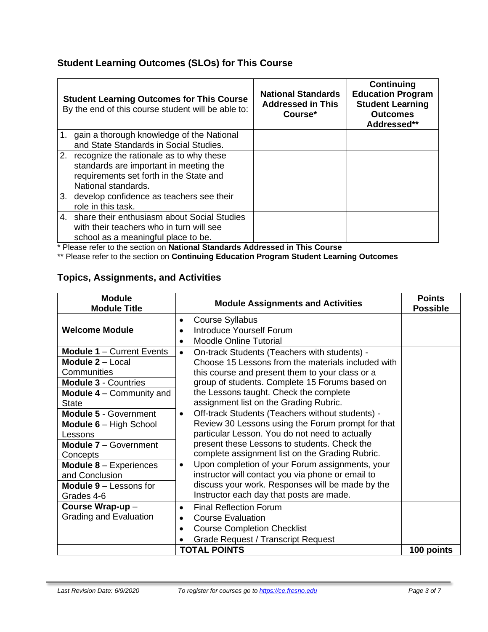# **Student Learning Outcomes (SLOs) for This Course**

| <b>Student Learning Outcomes for This Course</b><br>By the end of this course student will be able to:                                                 | <b>National Standards</b><br><b>Addressed in This</b><br>Course* | Continuing<br><b>Education Program</b><br><b>Student Learning</b><br><b>Outcomes</b><br>Addressed** |
|--------------------------------------------------------------------------------------------------------------------------------------------------------|------------------------------------------------------------------|-----------------------------------------------------------------------------------------------------|
| 1. gain a thorough knowledge of the National<br>and State Standards in Social Studies.                                                                 |                                                                  |                                                                                                     |
| 2. recognize the rationale as to why these<br>standards are important in meeting the<br>requirements set forth in the State and<br>National standards. |                                                                  |                                                                                                     |
| 3. develop confidence as teachers see their<br>role in this task.                                                                                      |                                                                  |                                                                                                     |
| 4. share their enthusiasm about Social Studies<br>with their teachers who in turn will see<br>school as a meaningful place to be.                      |                                                                  |                                                                                                     |

\* Please refer to the section on **National Standards Addressed in This Course**

\*\* Please refer to the section on **Continuing Education Program Student Learning Outcomes**

# **Topics, Assignments, and Activities**

| <b>Module</b><br><b>Module Assignments and Activities</b><br><b>Module Title</b> |                                                                                                                   | <b>Points</b><br><b>Possible</b> |
|----------------------------------------------------------------------------------|-------------------------------------------------------------------------------------------------------------------|----------------------------------|
| <b>Welcome Module</b>                                                            | <b>Course Syllabus</b><br>٠<br>Introduce Yourself Forum<br><b>Moodle Online Tutorial</b><br>$\bullet$             |                                  |
| <b>Module 1 - Current Events</b>                                                 | On-track Students (Teachers with students) -<br>$\bullet$                                                         |                                  |
| Module 2 - Local<br>Communities                                                  | Choose 15 Lessons from the materials included with<br>this course and present them to your class or a             |                                  |
| <b>Module 3 - Countries</b>                                                      | group of students. Complete 15 Forums based on                                                                    |                                  |
| <b>Module 4</b> $-$ Community and<br><b>State</b>                                | the Lessons taught. Check the complete<br>assignment list on the Grading Rubric.                                  |                                  |
| <b>Module 5 - Government</b>                                                     | Off-track Students (Teachers without students) -<br>$\bullet$                                                     |                                  |
| <b>Module 6</b> $-$ High School<br>Lessons                                       | Review 30 Lessons using the Forum prompt for that<br>particular Lesson. You do not need to actually               |                                  |
| <b>Module 7 - Government</b><br>Concepts                                         | present these Lessons to students. Check the<br>complete assignment list on the Grading Rubric.                   |                                  |
| <b>Module 8 - Experiences</b><br>and Conclusion                                  | Upon completion of your Forum assignments, your<br>$\bullet$<br>instructor will contact you via phone or email to |                                  |
| <b>Module <math>9 -</math></b> Lessons for<br>Grades 4-6                         | discuss your work. Responses will be made by the<br>Instructor each day that posts are made.                      |                                  |
| Course Wrap-up-                                                                  | <b>Final Reflection Forum</b><br>$\bullet$                                                                        |                                  |
| <b>Grading and Evaluation</b>                                                    | <b>Course Evaluation</b><br>$\bullet$                                                                             |                                  |
|                                                                                  | <b>Course Completion Checklist</b>                                                                                |                                  |
|                                                                                  | <b>Grade Request / Transcript Request</b>                                                                         |                                  |
|                                                                                  | <b>TOTAL POINTS</b>                                                                                               | 100 points                       |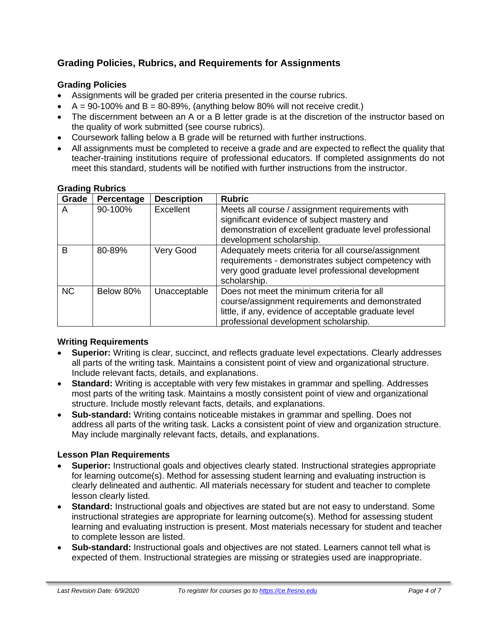# **Grading Policies, Rubrics, and Requirements for Assignments**

## **Grading Policies**

- Assignments will be graded per criteria presented in the course rubrics.
- $\bullet$  A = 90-100% and B = 80-89%, (anything below 80% will not receive credit.)
- The discernment between an A or a B letter grade is at the discretion of the instructor based on the quality of work submitted (see course rubrics).
- Coursework falling below a B grade will be returned with further instructions.
- All assignments must be completed to receive a grade and are expected to reflect the quality that teacher-training institutions require of professional educators. If completed assignments do not meet this standard, students will be notified with further instructions from the instructor.

| Grade     | Percentage | <b>Description</b> | <b>Rubric</b>                                                                                                                                                                                   |
|-----------|------------|--------------------|-------------------------------------------------------------------------------------------------------------------------------------------------------------------------------------------------|
| A         | 90-100%    | Excellent          | Meets all course / assignment requirements with<br>significant evidence of subject mastery and<br>demonstration of excellent graduate level professional<br>development scholarship.            |
| B         | 80-89%     | Very Good          | Adequately meets criteria for all course/assignment<br>requirements - demonstrates subject competency with<br>very good graduate level professional development<br>scholarship.                 |
| <b>NC</b> | Below 80%  | Unacceptable       | Does not meet the minimum criteria for all<br>course/assignment requirements and demonstrated<br>little, if any, evidence of acceptable graduate level<br>professional development scholarship. |

#### **Grading Rubrics**

#### **Writing Requirements**

- **Superior:** Writing is clear, succinct, and reflects graduate level expectations. Clearly addresses all parts of the writing task. Maintains a consistent point of view and organizational structure. Include relevant facts, details, and explanations.
- **Standard:** Writing is acceptable with very few mistakes in grammar and spelling. Addresses most parts of the writing task. Maintains a mostly consistent point of view and organizational structure. Include mostly relevant facts, details, and explanations.
- **Sub-standard:** Writing contains noticeable mistakes in grammar and spelling. Does not address all parts of the writing task. Lacks a consistent point of view and organization structure. May include marginally relevant facts, details, and explanations.

#### **Lesson Plan Requirements**

- **Superior:** Instructional goals and objectives clearly stated. Instructional strategies appropriate for learning outcome(s). Method for assessing student learning and evaluating instruction is clearly delineated and authentic. All materials necessary for student and teacher to complete lesson clearly listed.
- **Standard:** Instructional goals and objectives are stated but are not easy to understand. Some instructional strategies are appropriate for learning outcome(s). Method for assessing student learning and evaluating instruction is present. Most materials necessary for student and teacher to complete lesson are listed.
- **Sub-standard:** Instructional goals and objectives are not stated. Learners cannot tell what is expected of them. Instructional strategies are missing or strategies used are inappropriate.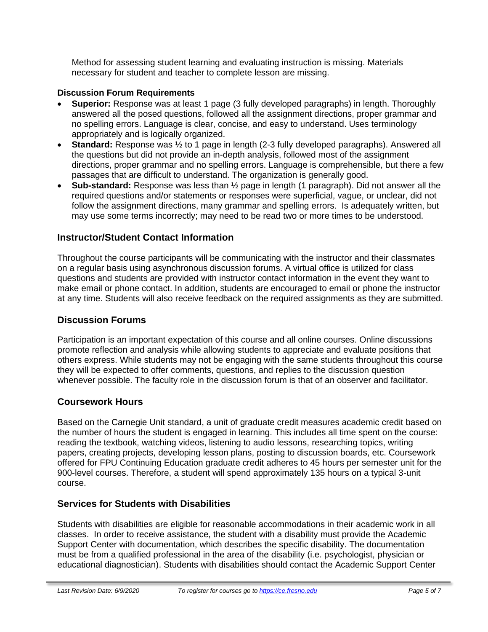Method for assessing student learning and evaluating instruction is missing. Materials necessary for student and teacher to complete lesson are missing.

#### **Discussion Forum Requirements**

- **Superior:** Response was at least 1 page (3 fully developed paragraphs) in length. Thoroughly answered all the posed questions, followed all the assignment directions, proper grammar and no spelling errors. Language is clear, concise, and easy to understand. Uses terminology appropriately and is logically organized.
- **Standard:** Response was  $\frac{1}{2}$  to 1 page in length (2-3 fully developed paragraphs). Answered all the questions but did not provide an in-depth analysis, followed most of the assignment directions, proper grammar and no spelling errors. Language is comprehensible, but there a few passages that are difficult to understand. The organization is generally good.
- **Sub-standard:** Response was less than ½ page in length (1 paragraph). Did not answer all the required questions and/or statements or responses were superficial, vague, or unclear, did not follow the assignment directions, many grammar and spelling errors. Is adequately written, but may use some terms incorrectly; may need to be read two or more times to be understood.

# **Instructor/Student Contact Information**

Throughout the course participants will be communicating with the instructor and their classmates on a regular basis using asynchronous discussion forums. A virtual office is utilized for class questions and students are provided with instructor contact information in the event they want to make email or phone contact. In addition, students are encouraged to email or phone the instructor at any time. Students will also receive feedback on the required assignments as they are submitted.

# **Discussion Forums**

Participation is an important expectation of this course and all online courses. Online discussions promote reflection and analysis while allowing students to appreciate and evaluate positions that others express. While students may not be engaging with the same students throughout this course they will be expected to offer comments, questions, and replies to the discussion question whenever possible. The faculty role in the discussion forum is that of an observer and facilitator.

# **Coursework Hours**

Based on the Carnegie Unit standard, a unit of graduate credit measures academic credit based on the number of hours the student is engaged in learning. This includes all time spent on the course: reading the textbook, watching videos, listening to audio lessons, researching topics, writing papers, creating projects, developing lesson plans, posting to discussion boards, etc. Coursework offered for FPU Continuing Education graduate credit adheres to 45 hours per semester unit for the 900-level courses. Therefore, a student will spend approximately 135 hours on a typical 3-unit course.

# **Services for Students with Disabilities**

Students with disabilities are eligible for reasonable accommodations in their academic work in all classes. In order to receive assistance, the student with a disability must provide the Academic Support Center with documentation, which describes the specific disability. The documentation must be from a qualified professional in the area of the disability (i.e. psychologist, physician or educational diagnostician). Students with disabilities should contact the Academic Support Center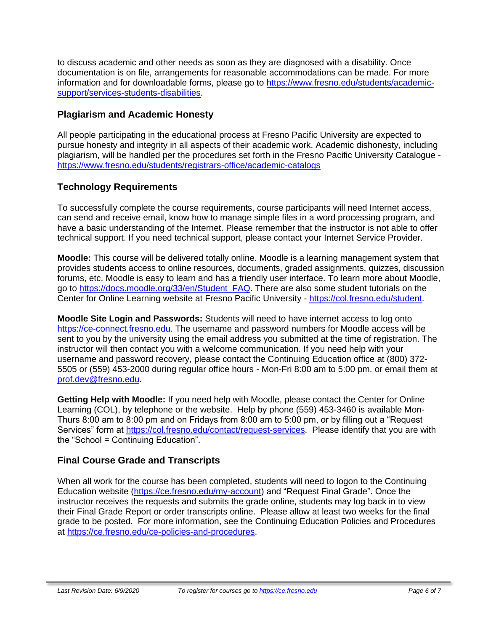to discuss academic and other needs as soon as they are diagnosed with a disability. Once documentation is on file, arrangements for reasonable accommodations can be made. For more information and for downloadable forms, please go to [https://www.fresno.edu/students/academic](https://www.fresno.edu/students/academic-support/services-students-disabilities)[support/services-students-disabilities.](https://www.fresno.edu/students/academic-support/services-students-disabilities)

# **Plagiarism and Academic Honesty**

All people participating in the educational process at Fresno Pacific University are expected to pursue honesty and integrity in all aspects of their academic work. Academic dishonesty, including plagiarism, will be handled per the procedures set forth in the Fresno Pacific University Catalogue <https://www.fresno.edu/students/registrars-office/academic-catalogs>

# **Technology Requirements**

To successfully complete the course requirements, course participants will need Internet access, can send and receive email, know how to manage simple files in a word processing program, and have a basic understanding of the Internet. Please remember that the instructor is not able to offer technical support. If you need technical support, please contact your Internet Service Provider.

**Moodle:** This course will be delivered totally online. Moodle is a learning management system that provides students access to online resources, documents, graded assignments, quizzes, discussion forums, etc. Moodle is easy to learn and has a friendly user interface. To learn more about Moodle, go to [https://docs.moodle.org/33/en/Student\\_FAQ.](https://docs.moodle.org/33/en/Student_FAQ) There are also some student tutorials on the Center for Online Learning website at Fresno Pacific University - [https://col.fresno.edu/student.](https://col.fresno.edu/student)

**Moodle Site Login and Passwords:** Students will need to have internet access to log onto [https://ce-connect.fresno.edu.](https://ce-connect.fresno.edu/) The username and password numbers for Moodle access will be sent to you by the university using the email address you submitted at the time of registration. The instructor will then contact you with a welcome communication. If you need help with your username and password recovery, please contact the Continuing Education office at (800) 372- 5505 or (559) 453-2000 during regular office hours - Mon-Fri 8:00 am to 5:00 pm. or email them at [prof.dev@fresno.edu.](mailto:prof.dev@fresno.edu)

**Getting Help with Moodle:** If you need help with Moodle, please contact the Center for Online Learning (COL), by telephone or the website. Help by phone (559) 453-3460 is available Mon-Thurs 8:00 am to 8:00 pm and on Fridays from 8:00 am to 5:00 pm, or by filling out a "Request Services" form at [https://col.fresno.edu/contact/request-services.](https://col.fresno.edu/contact/request-services) Please identify that you are with the "School = Continuing Education".

# **Final Course Grade and Transcripts**

When all work for the course has been completed, students will need to logon to the Continuing Education website [\(https://ce.fresno.edu/my-account\)](https://ce.fresno.edu/my-account) and "Request Final Grade". Once the instructor receives the requests and submits the grade online, students may log back in to view their Final Grade Report or order transcripts online. Please allow at least two weeks for the final grade to be posted. For more information, see the Continuing Education Policies and Procedures at [https://ce.fresno.edu/ce-policies-and-procedures.](https://ce.fresno.edu/ce-policies-and-procedures)